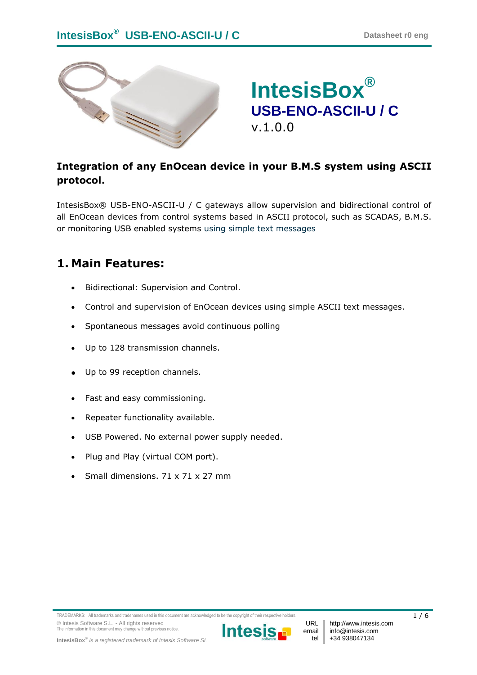

# **IntesisBox® USB-ENO-ASCII-U / C** v.1.0.0

#### **Integration of any EnOcean device in your B.M.S system using ASCII protocol.**

IntesisBox® USB-ENO-ASCII-U / C gateways allow supervision and bidirectional control of all EnOcean devices from control systems based in ASCII protocol, such as SCADAS, B.M.S. or monitoring USB enabled systems using simple text messages

#### **1. Main Features:**

- Bidirectional: Supervision and Control.
- Control and supervision of EnOcean devices using simple ASCII text messages.
- Spontaneous messages avoid continuous polling
- Up to 128 transmission channels.
- Up to 99 reception channels.
- Fast and easy commissioning.
- Repeater functionality available.
- USB Powered. No external power supply needed.
- Plug and Play (virtual COM port).
- Small dimensions. 71 x 71 x 27 mm



URL email tel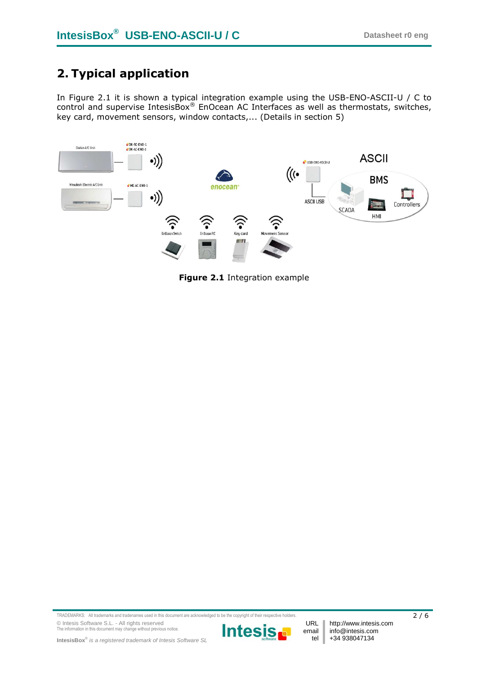## **2. Typical application**

In [Figure 2.1](#page-1-0) it is shown a typical integration example using the USB-ENO-ASCII-U / C to control and supervise IntesisBox® EnOcean AC Interfaces as well as thermostats, switches, key card, movement sensors, window contacts,... (Details in section [5\)](#page-4-0)



<span id="page-1-0"></span>**Figure 2.1** Integration example

TRADEMARKS: All trademarks and tradenames used in this document are acknowledged to be the copyright of their respective holders. 2 / 6 © Intesis Software S.L. - All rights reserved The information in this document may change without previous notice.



URL email tel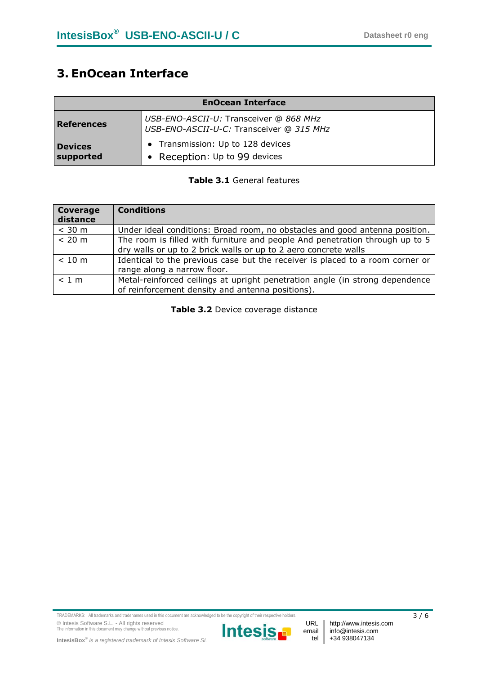## **3. EnOcean Interface**

| <b>EnOcean Interface</b>    |                                                                                    |  |
|-----------------------------|------------------------------------------------------------------------------------|--|
| <b>References</b>           | USB-ENO-ASCII-U: Transceiver @ 868 MHz<br>USB-ENO-ASCII-U-C: Transceiver @ 315 MHz |  |
| <b>Devices</b><br>supported | • Transmission: Up to 128 devices<br>• Reception: Up to 99 devices                 |  |

#### **Table 3.1** General features

| Coverage<br>distance | <b>Conditions</b>                                                                                                                               |
|----------------------|-------------------------------------------------------------------------------------------------------------------------------------------------|
| $<$ 30 m             | Under ideal conditions: Broad room, no obstacles and good antenna position.                                                                     |
| < 20 m               | The room is filled with furniture and people And penetration through up to 5<br>dry walls or up to 2 brick walls or up to 2 aero concrete walls |
| < 10 m               | Identical to the previous case but the receiver is placed to a room corner or<br>range along a narrow floor.                                    |
| < 1 m                | Metal-reinforced ceilings at upright penetration angle (in strong dependence<br>of reinforcement density and antenna positions).                |

**Table 3.2** Device coverage distance

TRADEMARKS: All trademarks and tradenames used in this document are acknowledged to be the copyright of their respective holders.  $3/6$ © Intesis Software S.L. - All rights reserved The information in this document may change without previous notice.



email tel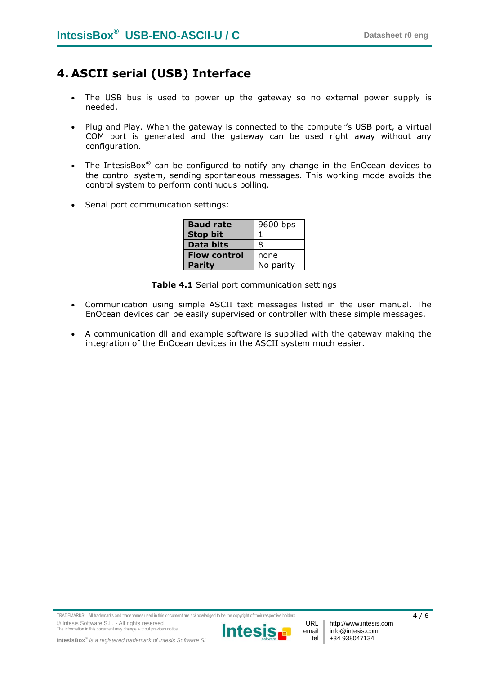## **4. ASCII serial (USB) Interface**

- The USB bus is used to power up the gateway so no external power supply is needed.
- Plug and Play. When the gateway is connected to the computer's USB port, a virtual COM port is generated and the gateway can be used right away without any configuration.
- The IntesisBox<sup>®</sup> can be configured to notify any change in the EnOcean devices to the control system, sending spontaneous messages. This working mode avoids the control system to perform continuous polling.
- Serial port communication settings:

| <b>Baud rate</b>    | 9600 bps  |
|---------------------|-----------|
| <b>Stop bit</b>     |           |
| <b>Data bits</b>    | ឧ         |
| <b>Flow control</b> | none      |
| <b>Parity</b>       | No parity |

**Table 4.1** Serial port communication settings

- Communication using simple ASCII text messages listed in the user manual. The EnOcean devices can be easily supervised or controller with these simple messages.
- A communication dll and example software is supplied with the gateway making the integration of the EnOcean devices in the ASCII system much easier.

TRADEMARKS: All trademarks and tradenames used in this document are acknowledged to be the copyright of their respective holders.  $4/6$ © Intesis Software S.L. - All rights reserved The information in this document may change without previous notice.



URL email tel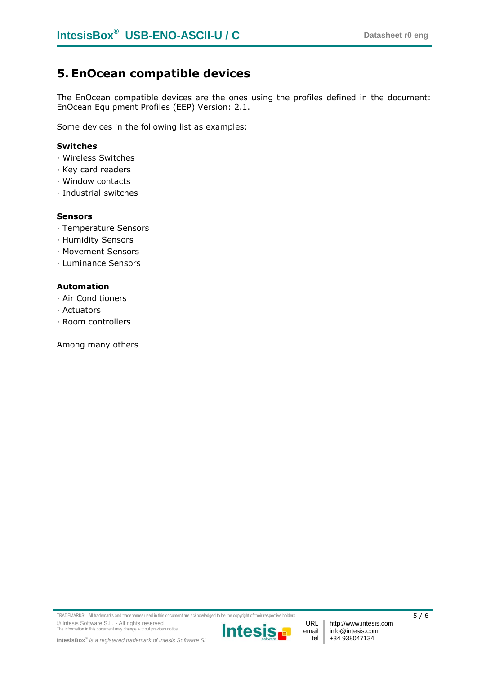#### <span id="page-4-0"></span>**5. EnOcean compatible devices**

The EnOcean compatible devices are the ones using the profiles defined in the document: EnOcean Equipment Profiles (EEP) Version: 2.1.

Some devices in the following list as examples:

#### **Switches**

- · Wireless Switches
- · Key card readers
- · Window contacts
- · Industrial switches

#### **Sensors**

- · Temperature Sensors
- · Humidity Sensors
- · Movement Sensors
- · Luminance Sensors

#### **Automation**

- · Air Conditioners
- · Actuators
- · Room controllers

Among many others



email tel